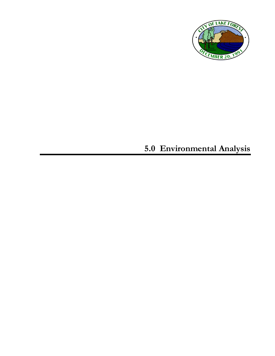

## **5.0 Environmental Analysis**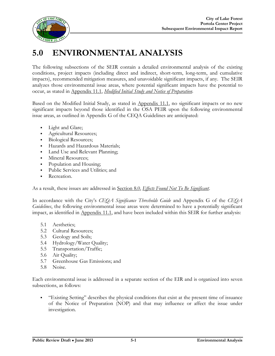

## **5.0 ENVIRONMENTAL ANALYSIS**

The following subsections of the SEIR contain a detailed environmental analysis of the existing conditions, project impacts (including direct and indirect, short-term, long-term, and cumulative impacts), recommended mitigation measures, and unavoidable significant impacts, if any. The SEIR analyzes those environmental issue areas, where potential significant impacts have the potential to occur, as stated in Appendix 11.1, *Modified Initial Study and Notice of Preparation*.

Based on the Modified Initial Study, as stated in Appendix 11.1, no significant impacts or no new significant impacts beyond those identified in the OSA PEIR upon the following environmental issue areas, as outlined in Appendix G of the CEQA Guidelines are anticipated:

- Light and Glare;
- Agricultural Resources;
- Biological Resources;
- Hazards and Hazardous Materials;
- Land Use and Relevant Planning;
- **Mineral Resources;**
- Population and Housing;
- Public Services and Utilities; and
- Recreation.

As a result, these issues are addressed in Section 8.0, *Effects Found Not To Be Significant*.

In accordance with the City's *CEQA Significance Thresholds Guide* and Appendix G of the *CEQA Guidelines*, the following environmental issue areas were determined to have a potentially significant impact, as identified in Appendix 11.1, and have been included within this SEIR for further analysis:

- 5.1 Aesthetics;
- 5.2 Cultural Resources;
- 5.3 Geology and Soils;
- 5.4 Hydrology/Water Quality;
- 5.5 Transportation/Traffic;
- 5.6 Air Quality;
- 5.7 Greenhouse Gas Emissions; and
- 5.8 Noise.

Each environmental issue is addressed in a separate section of the EIR and is organized into seven subsections, as follows:

 "Existing Setting" describes the physical conditions that exist at the present time of issuance of the Notice of Preparation (NOP) and that may influence or affect the issue under investigation.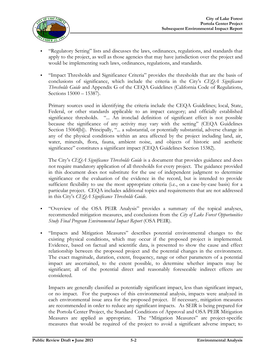

- "Regulatory Setting" lists and discusses the laws, ordinances, regulations, and standards that apply to the project, as well as those agencies that may have jurisdiction over the project and would be implementing such laws, ordinances, regulations, and standards.
- "Impact Thresholds and Significance Criteria" provides the thresholds that are the basis of conclusions of significance, which include the criteria in the City's *CEQA Significance Thresholds Guide* and Appendix G of the CEQA Guidelines (California Code of Regulations, Sections 15000 – 15387).

Primary sources used in identifying the criteria include the CEQA Guidelines; local, State, Federal, or other standards applicable to an impact category; and officially established significance thresholds. "... An ironclad definition of significant effect is not possible because the significance of any activity may vary with the setting" (CEQA Guidelines Section 15064[b]). Principally, "... a substantial, or potentially substantial, adverse change in any of the physical conditions within an area affected by the project including land, air, water, minerals, flora, fauna, ambient noise, and objects of historic and aesthetic significance" constitutes a significant impact (CEQA Guidelines Section 15382).

The City's *CEQA Significance Thresholds Guide* is a document that provides guidance and does not require mandatory application of all thresholds for every project. The guidance provided in this document does not substitute for the use of independent judgment to determine significance or the evaluation of the evidence in the record, but is intended to provide sufficient flexibility to use the most appropriate criteria (i.e., on a case-by-case basis) for a particular project. CEQA includes additional topics and requirements that are not addressed in this City's *CEQA Significance Thresholds Guide*.

- "Overview of the OSA PEIR Analysis" provides a summary of the topical analyses, recommended mitigation measures, and conclusions from the *City of Lake Forest Opportunities Study Final Program Environmental Impact Report* (OSA PEIR).
- "Impacts and Mitigation Measures" describes potential environmental changes to the existing physical conditions, which may occur if the proposed project is implemented. Evidence, based on factual and scientific data, is presented to show the cause and effect relationship between the proposed project and the potential changes in the environment. The exact magnitude, duration, extent, frequency, range or other parameters of a potential impact are ascertained, to the extent possible, to determine whether impacts may be significant; all of the potential direct and reasonably foreseeable indirect effects are considered.

Impacts are generally classified as potentially significant impact, less than significant impact, or no impact. For the purposes of this environmental analysis, impacts were analyzed in each environmental issue area for the proposed project. If necessary, mitigation measures are recommended in order to reduce any significant impacts. As SEIR is being prepared for the Portola Center Project, the Standard Conditions of Approval and OSA PEIR Mitigation Measures are applied as appropriate. The "Mitigation Measures" are project-specific measures that would be required of the project to avoid a significant adverse impact; to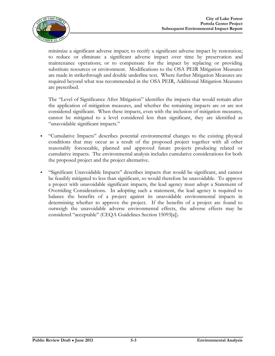

minimize a significant adverse impact; to rectify a significant adverse impact by restoration; to reduce or eliminate a significant adverse impact over time by preservation and maintenance operations; or to compensate for the impact by replacing or providing substitute resources or environment. Modifications to the OSA PEIR Mitigation Measures are made in strikethrough and double underline text. Where further Mitigation Measures are required beyond what was recommended in the OSA PEIR, Additional Mitigation Measures are prescribed.

The "Level of Significance After Mitigation" identifies the impacts that would remain after the application of mitigation measures, and whether the remaining impacts are or are not considered significant. When these impacts, even with the inclusion of mitigation measures, cannot be mitigated to a level considered less than significant, they are identified as "unavoidable significant impacts."

- "Cumulative Impacts" describes potential environmental changes to the existing physical conditions that may occur as a result of the proposed project together with all other reasonably foreseeable, planned and approved future projects producing related or cumulative impacts. The environmental analysis includes cumulative considerations for both the proposed project and the project alternative.
- "Significant Unavoidable Impacts" describes impacts that would be significant, and cannot be feasibly mitigated to less than significant, so would therefore be unavoidable. To approve a project with unavoidable significant impacts, the lead agency must adopt a Statement of Overriding Considerations. In adopting such a statement, the lead agency is required to balance the benefits of a project against its unavoidable environmental impacts in determining whether to approve the project. If the benefits of a project are found to outweigh the unavoidable adverse environmental effects, the adverse effects may be considered "acceptable" (CEQA Guidelines Section 15093[a]).